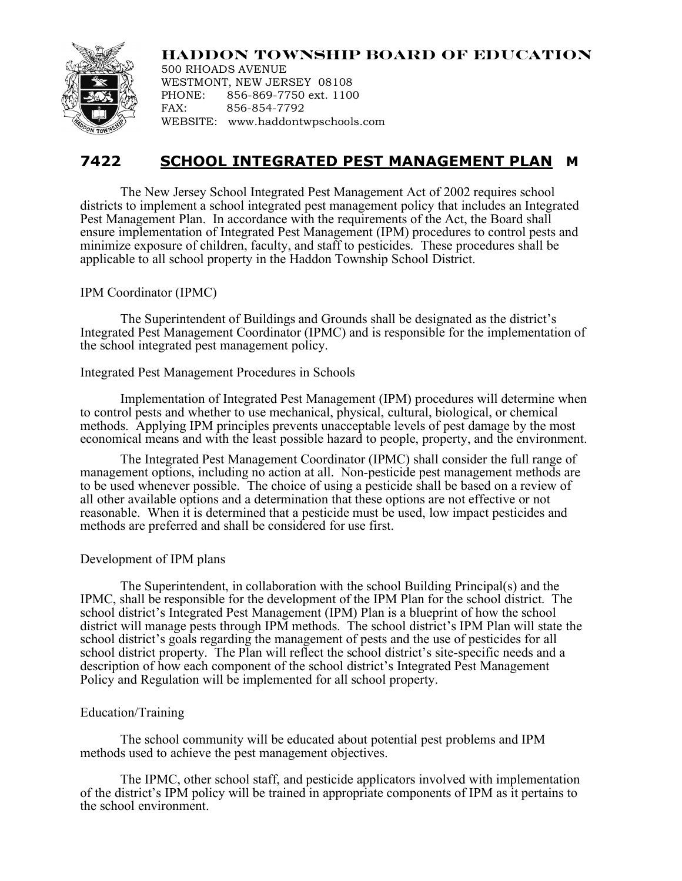

**HADDON TOWNSHIP BOARD OF EDUCATION** 500 RHOADS AVENUE WESTMONT, NEW JERSEY 08108 PHONE: 856-869-7750 ext. 1100 FAX: 856-854-7792

# WEBSITE: www.haddontwpschools.com

# **7422 SCHOOL INTEGRATED PEST MANAGEMENT PLAN M**

The New Jersey School Integrated Pest Management Act of 2002 requires school districts to implement a school integrated pest management policy that includes an Integrated Pest Management Plan. In accordance with the requirements of the Act, the Board shall ensure implementation of Integrated Pest Management (IPM) procedures to control pests and minimize exposure of children, faculty, and staff to pesticides. These procedures shall be applicable to all school property in the Haddon Township School District.

## IPM Coordinator (IPMC)

The Superintendent of Buildings and Grounds shall be designated as the district's Integrated Pest Management Coordinator (IPMC) and is responsible for the implementation of the school integrated pest management policy.

### Integrated Pest Management Procedures in Schools

Implementation of Integrated Pest Management (IPM) procedures will determine when to control pests and whether to use mechanical, physical, cultural, biological, or chemical methods. Applying IPM principles prevents unacceptable levels of pest damage by the most economical means and with the least possible hazard to people, property, and the environment.

The Integrated Pest Management Coordinator (IPMC) shall consider the full range of management options, including no action at all. Non-pesticide pest management methods are to be used whenever possible. The choice of using a pesticide shall be based on a review of all other available options and a determination that these options are not effective or not reasonable. When it is determined that a pesticide must be used, low impact pesticides and methods are preferred and shall be considered for use first.

# Development of IPM plans

The Superintendent, in collaboration with the school Building Principal(s) and the IPMC, shall be responsible for the development of the IPM Plan for the school district. The school district's Integrated Pest Management (IPM) Plan is a blueprint of how the school district will manage pests through IPM methods. The school district's IPM Plan will state the school district's goals regarding the management of pests and the use of pesticides for all school district property. The Plan will reflect the school district's site-specific needs and a description of how each component of the school district's Integrated Pest Management Policy and Regulation will be implemented for all school property.

# Education/Training

The school community will be educated about potential pest problems and IPM methods used to achieve the pest management objectives.

The IPMC, other school staff, and pesticide applicators involved with implementation of the district's IPM policy will be trained in appropriate components of IPM as it pertains to the school environment.